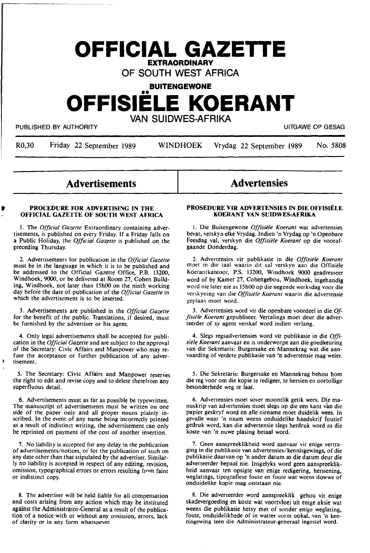# **OFFICIAL GAZETTE EXTRAORDINARY**

# OF SOUTH WEST AFRICA

**BUITENGEWONE** 

# •• **OFFISIELE KOERANT**

VAN SUIDWES-AFRIKA

PUBLISHED BY AUTHORITY **EXECUTE A SECURE 2018 THE SECURE 2019 OF SESAGRAPH** UITGAWE OP GESAGRAPH OF SESAGRAPH OF SESAGRAPH OF SESAGRAPH OF SESAGRAPH OF SESAGRAPH OF SESAGRAPH OF SESAGRAPH OF SESAGRAPH OF SESAGRAPH OF SESAG

It

R0,30 Friday 22 September 1989 WINDHOEK Vrydag 22 September 1989 No. 5808

**Advertisements** 

#### **PROCEDURE FOR ADVERTISING IN THE OFFICIAL GAZETTE OF SOUTH WEST AFRICA**

1. The *Official Gazette* Extraordinary containing advertisements, is published on every Friday. If a Friday falls on a Public Holiday, the *Official Gazette* is published on the preceding Thursday.

2. Advertisements for publication in the *Official Gazette*  must be in the language in which it is to be published and be addressed to the Official Gazette Office, P.B. 13200, Windhoek, 9000, or be delivered at Room 27, Cohen Building, Windhoek, not later than 15h00 on the ninth working day before the date of publication of the *Official Gazette* in which the advertisement is to be inserted.

3. Advertisements are published in the *Official Gazette*  for the benefit of the public. Translations, if desired, must be furnished by the advertiser or his agent.

**4.** Only legal advertisements shall be accepted for publication in the *Official Gazette* and are subject to **the** approval of the Secretary: Civic Affairs and Manpower who may refuse the acceptance or further publication of any advertisement.

5. The Secretary: Civic Affairs and Manpower reserves the right to edit and revise copy and to delete therefrom any superfluous detail.

6. Advertisements must as far as possible be typewritten. The manuscript of advertisements must be written on one side of the paper only and all proper nouns plainly inscribed. In the event of any name being incorrectly printed as a result of indistinct writing, the advertisement can only be reprinted on payment of the cost of another insertion.

7. No liability is accepted for any delay in the publication of advertisements/notices, or for the publication of such on **any** date other than that stipulated by the advertiser. Similarly no liability is accepted in respect of any editing, revision, omission, typographical errors or errors resulting from faint or indistinct copy.

8. The advertiser will be held liable for all compensation and costs arising from any action which may be instituted against the Administrator-General as a result of the publication of a notice with or without any omission, errors, lack of clarity or in any form whatsoever.

# **Advertensies**

#### **PROSEDURE VIR ADVERTENSIES IN DIE OFFISIELE KOERANT VAN SUIDWES-AFRIKA**

I. Die Buitengewone *Offisiele Koerant* wat advertensies bevat, verskyn elke Vrydag. Indien 'n Vrydag op 'n Openbare Feesdag val, verskyn die *Offisiele Koerant* op die voorafgaande Donderdag.

2. Advertensies vir publikasie in die *Offisiele Koerant*  moet in die taal waarin dit sal verskyn aan die Offisiele Koerantkantoor, P.S. 13200, Windhoek 9000 geadresseer word of by Kamer 27, Cohengebou, Windhoek, ingehandig word nie later nie as 15h00 op die negende werksdag voor die verskyning van die *Offisiele Koerunt* waarin **die** advertensie geplaas moet word.

3. Advertensies word vir die openbare voordeel in die\_ *Offisiete Koerant* gepubliseer. Vertalings moet deur die adverteerder of sy agent verskaf word indien verlang.

4. Slegs regsadvertensies word vir publikasie in die *Offisiele Koerant* aanvaar **en** is onderworpe aan **die** goedkeuring van die Sekretaris: Burgersake en Mannekrag wat die aanvaarding of verdere publikasie van 'n advertensie mag weier.

5. Die Sekretaris: Burgersake en Mannekrag behou hom die reg voor om die kopie te redigeer, te hersien en oortollige besonderhede weg te laat.

6. Advertensies moet sover moontlik getik wees. **Die** manuskrip van advertensies moet slegs op die een kant van die papier geskryf word en alle eiename moet duidelik wees. In gevalle waar 'n naam weens onduidelike handskrif foutief gedruk word, kan die advertensie slegs herdruk word **as** die koste van 'n nuwe plasing betaal word.

7. Geen aanspreeklikheid word aanvaar vir enige vertraging in die publikasie van advertensies/kennisgewings, of die publikasie daarvan op 'n ander datum as die datum deur die adverteerder bepaal nie. lnsgelyks word **geen** aanspreeklikheid aanvaar ten opsigte van enige redigering, hersiening, weglatings, tipografiese foute en foute wat weens dowwe of onduidelike kopie mag ontstaan **nie.** 

8. Die adverteerder word aanspreeklik gehou vir enige skadevergoeding en koste wat voortvloei uit enige aksie wat weens die publikasie hetsy met of sonder enige weglating, foute, onduidelikhede of in watter vorm ookal, van 'n kennisgewing teen die Administrateur-generaal ingestel word.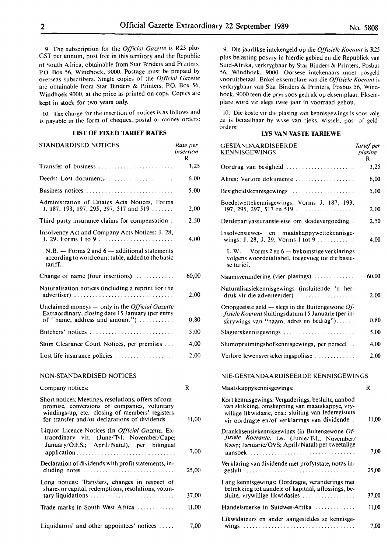9. The subscription for the *Official Gazette* is R25 plus OST per annum, post free in this territory and the Republic of South Africa, obtainable from Star Binders and Printers, P.O. Box 56, Windhoek, 9000. Postage must be prepaid by overseas subscribers. Single copies of the *Official Gazette*  are obtainable from Star Binders & Printers, P.O. Box 56, Windhoek 9000, at the price as printed on copy. Copies are kept in stock for two years only.

10. The charge for the insertion of notices is as follows and is payable in the form of cheques, postal or money orders:

# **LIST OF FIXED TARIFF RATES**

| STANDARDISED NOTICES                                                                                                                            | Rate per<br>insertion<br>R |
|-------------------------------------------------------------------------------------------------------------------------------------------------|----------------------------|
| Transfer of business                                                                                                                            | 3,25                       |
| Deeds: Lost documents                                                                                                                           | 6,00                       |
| Business notices                                                                                                                                | 5,00                       |
| Administration of Estates Acts Notices, Forms<br>J. 187, 193, 197, 295, 297, 517 and 519                                                        | 2,00                       |
| Third party insurance claims for compensation.                                                                                                  | 2.50                       |
| Insolvency Act and Company Acts Notices: J. 28,<br>J. 29. Forms 1 to 9                                                                          | 4,00                       |
| $N.B.$ — Forms 2 and $6$ — additional statements<br>according to word count table, added to the basic<br>tariff.                                |                            |
| Change of name (four insertions) $\dots\dots\dots$                                                                                              | 60.00                      |
| Naturalisation notices (including a reprint for the<br>advertiser)                                                                              | 2,00                       |
| Unclaimed moneys $-$ only in the <i>Official Gazette</i><br>Extraordinary, closing date 15 January (per entry<br>of "name, address and amount") | 0,80                       |
| Butchers' notices                                                                                                                               | 5,00                       |
| Slum Clearance Court Notices, per premises                                                                                                      | 4,00                       |
| Lost life insurance policies                                                                                                                    | 2.00                       |
|                                                                                                                                                 |                            |

#### NON-STANDARDISED NOTICES

| Company notices:                                                                                                                                                                                          | R     |
|-----------------------------------------------------------------------------------------------------------------------------------------------------------------------------------------------------------|-------|
| Short notices: Meetings, resolutions, offers of com-<br>promise, conversions of companies, voluntary<br>windings-up, etc.: closing of members' registers<br>for transfer and/or declarations of dividends | 11,00 |
| Liquor Licence Notices (In <i>Official Gazette</i> , Ex-<br>traordinary viz. (June/Tvl; November/Cape;<br>January/O.F.S.; April/Natal), per bilingual                                                     | 7,00  |
| Declaration of dividends with profit statements, in-<br>cluding notes $\dots \dots \dots \dots \dots \dots \dots \dots \dots \dots$                                                                       | 25,00 |
| Long notices: Transfers, changes in respect of<br>shares or capital, redemptions, resolutions, volun-                                                                                                     | 37.00 |
| Trade marks in South West Africa                                                                                                                                                                          | 11,00 |
| Liquidators' and other appointees' notices $\dots$ .                                                                                                                                                      | 7,00  |

9. Die jaarlikse intekengeld op die *Off1siele Koerant* is R25 plus belasting posvry in hierdie gebied en die Republiek van Suid-Afrika, verkrygbaar by Star Binders & Printers, Posbus 56, Windhoek, 9000. Oorsese intekenaars moet posgeld vooruitbetaal. Enke! eksemplare van die *Offisie/e Koerant* is verkrygbaar van Star Binders & Printers, Posbus 56, Windhoek, 9000 teen die prys soos gedruk op eksemplaar. Eksemplare word vir slegs twee jaar in voorraad gehou.

10. Die koste vir die plasing van kennisgewings is soos volg en is betaalbaar by wyse van tjeks, wissels, pos- of geldorders:

## **LYS VAN VASTE TARIEWE**

| GESTANDAARDISEERDE<br><b>KENNISGEWINGS</b>                                                                                                                                                                     | Tarief per<br>plasing<br>R |
|----------------------------------------------------------------------------------------------------------------------------------------------------------------------------------------------------------------|----------------------------|
|                                                                                                                                                                                                                | 3,25                       |
| Aktes: Verlore dokumente                                                                                                                                                                                       | 6,00                       |
| Besigheidskennisgewings $\ldots, \ldots, \ldots, \ldots, \ldots$                                                                                                                                               | 5,00                       |
| Boedelwettekennisgewings: Vorms J. 187, 193,<br>197, 295, 297, 517 en 519                                                                                                                                      | 2,00                       |
| Derdepartyassuransie-eise om skadevergoeding.                                                                                                                                                                  | 2,50                       |
| Insolvensiewet- en maatskappywettekennisge-<br>wings: J. 28, J. 29. Vorms 1 tot 9                                                                                                                              | 4,00                       |
| $L.W. - V \text{orms } 2 \text{ en } 6 - \text{bykomstige verklarings}$<br>volgens woordetaltabel, toegevoeg tot die basie-<br>se tarief.                                                                      |                            |
| Naamsverandering (vier plasings)                                                                                                                                                                               | 60,00                      |
| Naturalisasiekennisgewings (insluitende 'n her-<br>druk vir die adverteerder)                                                                                                                                  | 2,00                       |
| Onopgeëiste geld — slegs in die Buitengewone $Of$ -<br>fisiële Koerant sluitingsdatum 15 Januarie (per in-<br>skrywings van "naam, adres en bedrag")                                                           | $_{0,80}$                  |
| $Slagterskenn isgewings \ldots \ldots \ldots \ldots \ldots \ldots \ldots$                                                                                                                                      | 5,00                       |
| Slumopruimingshofkennisgewings, per perseel                                                                                                                                                                    | 4,00                       |
| Verlore lewensversekeringspolisse                                                                                                                                                                              | 2,00                       |
| NIE-GESTANDAARDISEERDE KENNISGEWINGS                                                                                                                                                                           |                            |
| Maatskappykennisgewings:                                                                                                                                                                                       | R                          |
| Kort kennisgewings: Vergaderings, besluite, aanbod<br>van skikking, omskepping van maatskappye, vry-<br>willige likwidasie, ens.: sluiting van lederegisters<br>vir oordragte en/of verklarings van dividende. | 11,00                      |
| Dranklisensiekennisgewings (in Buitengewone Of-<br>fisiële Koerante, t.w. (Junie/Tvl.; November/<br>Kaap; Januarie/OVS; April/Natal) per tweetalige                                                            | 7,00                       |
| aansoek<br>Verklaring van dividende met profytstate, notas in-                                                                                                                                                 | 25,00                      |
| Lang kennisgewings: Oordragte, veranderings met<br>betrekking tot aandele of kapitaal, aflossings, be-<br>sluite, vrywillige likwidasies                                                                       | 37,00                      |
| Handelsmerke in Suidwes-Afrika $\ldots$ ,,,,,,,,,,,                                                                                                                                                            | 11,00                      |
| Likwidateurs en ander aangesteldes se kennisge-                                                                                                                                                                |                            |
|                                                                                                                                                                                                                | 7,00                       |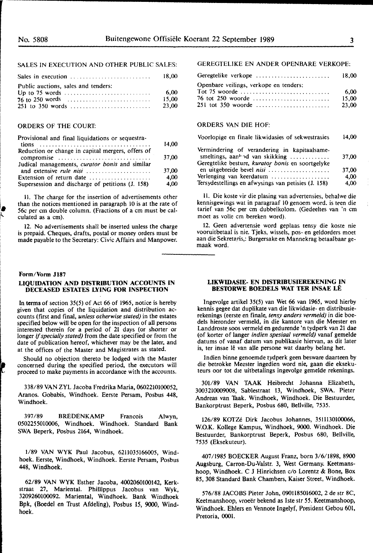# SALES IN EXECUTION AND OTHER PUBLIC SALES:

|                                                         | 18.00                   |
|---------------------------------------------------------|-------------------------|
| Public auctions, sales and tenders:<br>251 to 350 words | -6.00<br>15.00<br>23.00 |

#### ORDERS OF THE COURT:

| 14,00 |
|-------|
|       |
| 37,00 |
|       |
| 37,00 |
| 4.00  |
| 4,00  |
|       |

II. The charge for the insertion of advertisements other than the notices mentioned in paragraph 10 is at the rate of 56c per cm double column. (Fractions of a cm must be calculated as a cm).

12. No advertisements shall be inserted unless the charge is prepaid. Cheques, drafts, postal or money orders must be made payable to the Secretary: Civic Affairs and Manpower.

#### **Form/Vorm J187**

#### **LIQUIDATION AND DISTRIBUTION ACCOUNTS IN DECEASED ESTATES LYING FOR INSPECTION**

In **terms** of section 35(5) of Act 66 of 1965, notice is hereby given that copies of the liquidation and distribution accounts (first and final, *unless otherwise stated)* in the estates specified below will be open for the inspection of all persons interested therein for a period of 21 days (or shorter or longer if *specially stated)* from the date specified or from the date of publication hereof, whichever may be the later, and at the offices of the Master and Magistrates as stated.

Should no objection thereto be lodged with the Master concerned during the specified period, the executors will proceed to make payments in accordance with the accounts.

338/89 VANZYL Jacoba Fredrika Maria, 0602210100052, Aranos. Gobabis, Windhoek. Eerste Persam, Posbus 448, Windhoek.

397 /89 BREDENKAMP Francois Alwyn, 0502255010006, Windhoek. Windhoek. Standard Bank SWA Beperk, Posbus 2164, Windhoek.

1/89 VAN WYK Paul Jacobus, 6211035166005, Windhoek. Eerste, Windhoek, Windhoek. Eerste Persam, Posbus 448, Windhoek.

62/89 **VAN WYK** Esther Jacoba, 4002060100142, **Kerkstraat 27, Mariental. Phillippus Jacobus van Wyk, 3209260100092. Mariental, Windhoek. Bank Windhoek Bpk, (Boedel en Trust Afdeling), Posbus 15, 9000, Windhoek.** 

## GEREGTELIKE EN ANDER OPENBARE VERKOPE:

| Geregtelike verkope                    | 18.00 |
|----------------------------------------|-------|
| Openbare veilings, verkope en tenders: |       |
|                                        | 6.00  |
| 76 tot 250 woorde                      | 15.00 |
| 251 tot 350 woorde                     | 23.00 |

#### ORDERS VAN DIE HOF:

| Voorlopige en finale likwidasies of sekwestrasies                                                                                          | 14.00 |
|--------------------------------------------------------------------------------------------------------------------------------------------|-------|
| Vermindering of verandering in kapitaalsame-<br>smeltings, $aan^{\mu}$ d van skikking<br>Geregtelike besture, kurator bonis en soortgelyke | 37.00 |

Geregtelike besture, *kurator bonis* en soortgelyke en uitgebreide bevel *nisi* ................... . Verlenging van keerdatum ............ Tersydestellings en afwysings van petisies (J. 158) 37,00 4,00 4,00

II. Die koste vir die plasing van advertensies, behalwe die kennisgewings wat in paragraaf 10 genoem word, is teen die tarief van 56c per cm dubbelkolom. (Gedeeltes van 'n cm moet as volle cm bereken word).

12. Geen advertensie word geplaas tensy die koste nie vooruitbetaal is nie. Tjeks, wissels, pos- en geldorders moet aan die Sekretaris,: Burgersake en Mannekrag betaalbaar gemaak word.

#### **LIKWIDASIE- EN DISTRIBUSIEREKENING IN BES'IORWE BOEDELS WAT TER INSAE LE**

lngevolge artikel 35(5) van Wet 66 van 1965, word hierby kennis gegee dat duplikate van die likwidasie- en distribusierekenings (eerste en finale, *tensy anders vermeld)* in die boedels hieronder vermeld, in die kantore van die Meester en Landdroste soos vermeld en gedurende 'n tydperk van 21 dae (of korter of !anger *indien spesiaal vermeld)* vanaf gernelde datums of vanaf datum van publikasie hiervan, as dit later is, ter insae lê van alle persone wat daarby belang het.

Indien binne genoemde tydperk geen besware daarteen by die betrokke Meester ingedien word nie, gaan die eksekuteurs oor tot die uitbetalings ingevolge gernelde rekenings.

301/89 **VAN TAAK** Heibrecht Johanna Elizabeth, 3003210009008, Sablestraat 13, Windhoek, SWA. Pieter Andreas van Taak. Windhoek, Windhoek. Die Bestuurder, Bankorptrust Beperk, Posbus 680, Bellville, 7535.

126/89 KOTZé Dirk Jacobus Johannes, 3511130100066, W.O.K. Kollege Kampus, Windhoek, 9000. Windhoek. Die Bestuurder, Bankorptrust Beperk, Posbus 680, Bellville, 7535 (Eksekuteur).

407/1985 BOECKER August Franz, born 3/6/1898, 8900 **Augsburg, Carron-Du-Valstr. 3, West Germany. Keetmanshoop, Windhoek. C J Hinrichsen c/o Lorentz** & **Bone, Box 85, 308 Standard Bank Chambers, Kaiser Street, Windhoek.** 

**576/88 JACOBS Pieter John, 0901185016002, 2 de str SC, Keetmanshoop, vroeer bekend as lste str** *55.* **Keetmanshoop, Windhoek. Ehlers en Vennote Ingelyf, President Gebou 601, Pretoria, 0001.**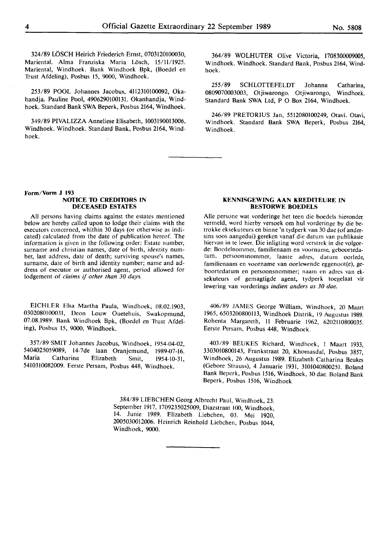324/89 LOSCH Heirich Friederich Ernst, 0703120100030, Mariental. Alma Franziska Maria Lösch, 15/11/1925. Mariental, Windhoek. Bank Windhoek Bpk, (Boedel en Trust Afdeling), Posbus 15, 9000, Windhoek.

253/89 POOL Johannes **Jacobus,** 4112310100092, **Okahandja.** Pauline Pool, **4906290100131.** Okanhandja, **Windhoek.** Standard Bank **SWA Beperk,** Posbus 2164, Windhoek.

349/89 PIVALIZZA **Anneliese** Elisabeth, 1003190013006, Windhoek. Windhoek. **Standard Bank,** Posbus 2164, **Wind**hoek.

364/89 WOLHUTER Olive Victoria, 1708300009005, Windhoek. Windhoek. Standard Bank, Posbus 2164, Windhoek.

**255/89** SCHLOTTEFELDT Johanna Catharina, 0809070003003, **Otjiwarongo.** Otjiwarongo, **Windhoek.**  Standard Bank **SWA Ltd, P O Box** 2164, Windhoek.

246/89 PRETORIUS **Jan,** 5512080100249, Otavi. **Otavi,**  Windhoek. Standard **Bank SWA** Beperk, Posbus **2164, Windhoek.** 

#### **Form/Vorm** J 193 **NOTICE** ID **CREDIIDRS IN DECEASED ESTATES**

All persons having claims against the estates mentioned below are hereby called upon to lodge their claims with the executors concerned, whithin 30 days (or otherwise as indicated) calculated from the date of publication hereof. The information is given in the following order: Estate number, surname and christian names, date of birth, identity number, last address, date of death; surviving spouse's names, surname, date of birth **and identity** number; name and **ad**dress of executor or authorised agent, period allowed for lodgement of *claims* if *other than 30 days.* 

EICHLER Elsa Martha Paula, Windhoek, 08.02.1903, 0302080100031, Deon Louw Ouetehuis, Swakopmund, 07.08.1989. Bank Windhoek Bpk, (Boedel en Trust Afdeling), Posbus 15, 9000, Windhoek.

357/89 SMIT Johannes Jacobus, Windhoek, 1954-04-02, 5404025059089, 14-7 de laan Oranjemund, 1989-07-16. Maria Catharina Elizabeth Smit, 1954-10-31, 5410310082009. Eerste Persam, Posbus 448, Windhoek.

#### **KENNISGEWING AAN KREDITEURE IN BESIDRWE BOEDELS**

Alie persone wat vorderinge het teen die boedels hieronder vermeld, word hierby versoek om hul vorderinge by die betrokke eksekuteurs en binne 'n tydperk van 30 dae (of andersins soos aangedui) gereken vanaf die datum van publikasie hiervan in te lewer. Die inligting word verstrek in die volgorde: Boedelnommer, familienaam en voorname, geboortedatum. persoonsnommer, laaste adres, datum oorlede, familienaam en voorname **van** oorlewende eggenoot(e), geboortedatum en persoonsnommer; naam en adres van eksekuteurs of gemagtigde agent, tydperk toegelaat vir Iewering van vorderings **indien** *anders as 30 dae.* 

406/89 JAMES George William, Windhoek, 20 Maart 1965, 6503200800113, Windhoek Distrik, 19 Augustus 1989. Rohenta Margareth, 11 Februarie 1962, 6202110800035. Eerste Persam, Posbus 448, Windhoek.

403/89 BEUKES Richard, Windhoek, I Maart 1933, 3303010800143, Frankstraat 20, Khomasdal, Posbus 3857, Windhoek, 26 Augustus 1989. Elizabeth Catharina Beukes (Gebore Strauss), 4 Januarie 1931, 3101040800251. Boland Bank Beperk, Posbus 1516, Windhoek, 30 dae. Boland Bank Beperk, Posbus 1516, Windhoek

384/89 LIEBCHEN Georg Albrecht Paul, Windhoek, 23. September 1917, 1709235025009, Diazstraat 100, Windhoek, 14. Junie 1989. Elizabeth Liebchen, 03. Mei 1920, 2005030012006. Heinrich Reinhold Liebchen, Posbus 1044, Windhoek, 9000.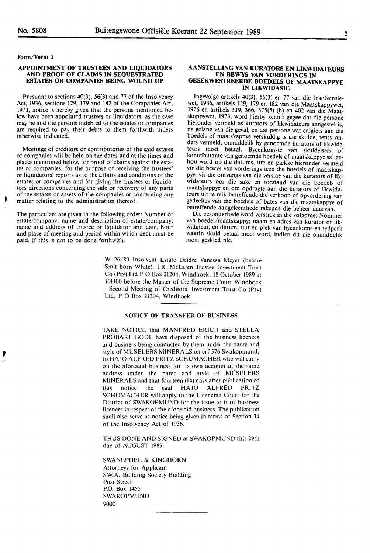#### **Form/Vorm 1**

'

#### **APPOINTMENT OF TRUSTEES AND LIQUIDATORS AND PROOF OF CLAIMS IN SEQUESTRATED ESTATES OR COMPANIES BEING WOUND UP**

Pursuant to sections 40(3), 56(3) and 77 of the Insolvency Act, 1936, sections 129, 179 and 182 of the Companies Act, 1973, notice is hereby given that the persons mentioned below have been appointed trustees or liquidators, as the case may be and the persons indebted to the estates or companies are required to pay their debts to them forthwith unless otherwise indicated.

Meetings of creditors or contributories of the said estates or companies will be held on the dates and at the times and places mentioned below, for proof of claims against the estates or companies, for the purpose of receiving the trustees' or liquidators' reports as to the affairs and conditions of the estates or companies and for giving the trustees or liquidators directions concerning the sale or recovery of any parts of the estates or assets of the companies or concerning any matter relating to the administration thereof.

The particulars are given in the following order: Number of estate/company; name and description of estate/company; name and address of trustee or liquidator and date, hour and place of meeting and period within which debt must be paid, if this is not to be done forthwith.

#### **AANSTELLING VAN KURA10RS EN LIKWIDATEURS EN BEWYS VAN VORDERINGS IN GESEKWESTREERDE BOEDELS OF MAATSKAPPYE IN LIKWIDASIE**

Ingevolge artikels 40(3), 56(3) en 77 van die Insolvensiewet, 1936, artikels 129, 179 en 182 van die Maatskappywet, 1926 en artikels 339, 366, 375(5) (b) en 402 van die Maatskappywet, 1973, word hierby kennis gegee dat die persone hieronder vermeld as kurators of likwidateurs aangestel is, na gelang van die geval, en dat persone wat enigiets aan die boedels of maatskappye verskuldig is die skulde, tensy anders vermeld, onmiddelik by genoemde kurators of likwidateurs moet betaal. Byeenkomste van skuldeisers of kontributante van genoemde boedels of maatskappye sal gehou word op die datums, ure en plekke hieronder vermeld vir die bewys van vorderings teen die boedels of maatskappye, vir die ontvangs van die verslae van die kurators of likwidateurs oor die sake en toestand van die boedels of maatskappye en om opdragte aan die kurators of likwidateurs uit te reik betreffende die verkoop of opvordering van gedeeltes van die boedels of bates van die maatskappye of betreffende aangeleenthede rakende die beheer daarvan.

Die besonderhede word verstrek in die volgorde: Nommer van boedel/maatskappy; naam en adres van kurator of likwidateur, en datum, uur en plek van byeenkoms en tydperk waarin skuld betaal moet word, indien dit nie onmiddelik moet geskied nie.

W 26/89 Insolvent Estate Deidre Vanessa Meyer (before Smit born White). l.R. McLaren Trustee Investment Trust Co (Pty) Ltd PO Box 21204, Windhoek. 18 October 1989 at lOHOO before the Master of the Supreme Court Windhoek - Second Meeting of Creditors. Investment Trust Co (Pty) Ltd, P O Box 21204, Windhoek.

## **NOTICE OF TRANSFER OF BUSINESS**

TAKE NOTICE that MANFRED ERICH and STELLA PROBART GODL have disposed of the business licences and business being conducted by them under the name and style of MUSELERS MINERALS on erf 576 Swakopmund, to HAJO ALFRED FRITZ SCHUMACHER who will carry on the aforesaid business for its own account at the same address under the name and style of MUSELERS MINERALS and that fourteen (14) days after publication of this notice the said HAJO ALFRED FRITZ SCHUMACHER will apply to the Licencing Court for the District of SWAKOPMUND for the issue to it of business licences in respect of the aforesaid business. The publication shall also serve as notice being given in terms of Section 34 of the Insolvency Act of 1936.

THUS DONE AND SIGNED at SWAKOPMUND this 29th day of AUGUST 1989.

**SWANEPOEL** & **KINGHORN**  Attorneys for Applicant **S.W.A.** Building Society Building Post Street P.O. Box 1455 **SWAKOPMUND**  9000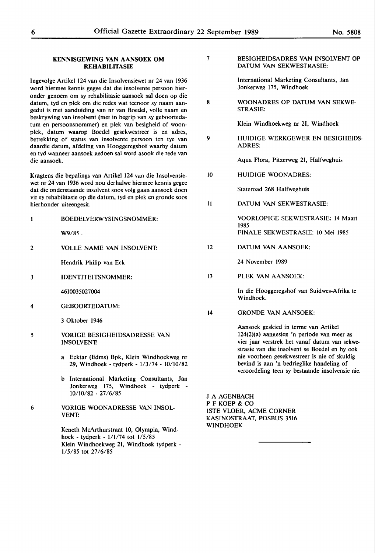#### **KENNISGEWING VAN AANSOEK OM REHABILITASIE**

Ingevolge Artikel 124 van die Insolvensiewet nr 24 van 1936 word hiermee kennis gegee dat die insolvente persoon hieronder genoem om sy rehabilitasie aansoek sal doen op die datum, tyd en plek om die redes wat teenoor sy naam aangedui is met aanduiding van nr van Boedel, voile naam en beskrywing van insolvent (met in begrip van sy geboortedatum en persoonsnommer) en plek van besigheid of woonplek, datum waarop Boedel gesekwestreer is en adres, betrekking of status van insolvente persoon ten tye van daardie datum, afdeling van Hooggeregshof waarby datum en tyd wanneer aansoek gedoen sal word asook die rede van die aansoek.

Kragtens die bepalings van Artikel 124 van die Insolvensiewet nr 24 van 1936 word nou derhalwe hiermee kennis gegee dat die onderstaande insolvent soos volg gaan aansoek doen vir sy rehabilitasie op die datum, tyd en plek en gronde soos hierhonder uiteengesit.

| 1 | <b>BOEDELVERWYSINGSNOMMER:</b>                                                                        |
|---|-------------------------------------------------------------------------------------------------------|
|   | $W9/85$ .                                                                                             |
| 2 | <b>VOLLE NAME VAN INSOLVENT</b>                                                                       |
|   | Hendrik Philip van Eck                                                                                |
| 3 | <b>IDENTITEITSNOMMER:</b>                                                                             |
|   | 4610035027004                                                                                         |
| 4 | <b>GEBOORTEDATUM:</b>                                                                                 |
|   | 3 Oktober 1946                                                                                        |
| 5 | <b>VORIGE BESIGHEIDSADRESSE VAN</b><br><b>INSOLVENT</b>                                               |
|   | a Ecktar (Edms) Bpk, Klein Windhoekweg nr<br>29, Windhoek - tydperk - 1/3/74 - 10/10/82               |
|   | b International Marketing Consultants, Jan<br>Jonkerweg 175, Windhoek - tydperk<br>10/10/82 - 27/6/85 |
| 6 | VORIGE WOONADRESSE VAN INSOL-                                                                         |

Keneth McArthurstraat 10, Olympia, Windhoek - tydperk - 1/1/74 tot 1/5/85 Klein Windhoekweg 21, Windhoek tydperk - 1/5/85 tot 27 /6/85

VENT:

| 7 | BESIGHEIDSADRES VAN INSOLVENT OP |
|---|----------------------------------|
|   | DATUM VAN SEKWESTRASIE:          |

International Marketing Consultants, Jan Jonkerweg 175, Windhoek

8 WOONADRES OP DATUM VAN SEKWE-STRASIE:

Klein Windhoekweg nr 21, Windhoek

9 HUIDIGE WERKGEWER EN BESIGHEIDS-ADRES:

Aqua Flora, Pitzerweg 21, Halfweghuis

10 HUIDIGE WOONADRES:

Stateroad 268 Halfweghuis

II DATUM VAN SEKWESTRASIE:

> VOORLOPIGE SEKWESTRASIE: 14 Maart 1985 FINALE SEKWESTRASIE: IO Mei 1985

12 DATUM VAN AANSOEK:

24 November 1989

13 PLEK VAN AANSOEK:

> In die Hooggeregshof van Suidwes-Afrika te Windhoek.

14 GRONDE VAN AANSOEK:

Aansoek geskied in terme van Artikel 124(2)(a) aangesien 'n periode van meer as vier jaar verstrek het vanaf datum van sekwestrasie van die insolvent se Boedel en hy ook nie voorheen gesekwestreer is nie of skuldig bevind is aan 'n bedrieglike handeling of veroordeling teen sy bestaande insolvensie nie.

J A AGENBACH PF KOEP & CO !STE VLOER, ACME CORNER KASINOSTRAAT, POSBUS 3516 WINDHOEK